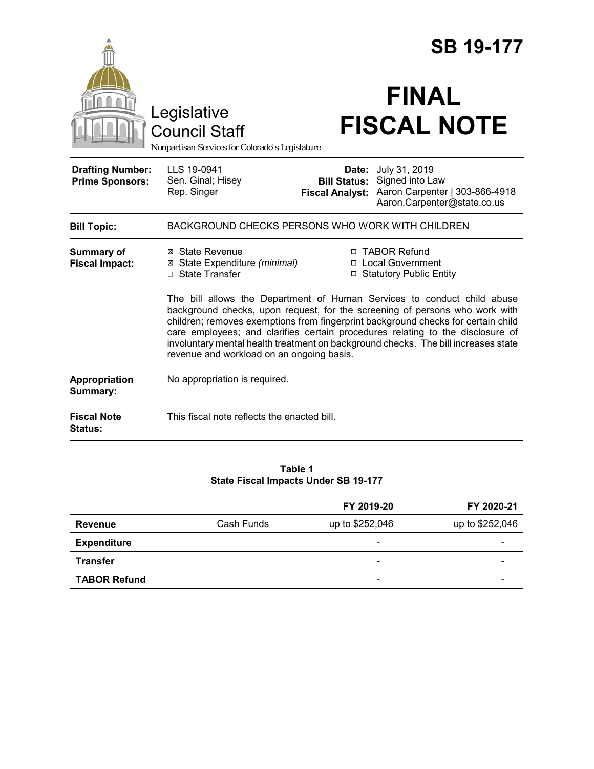|                                                   |                                                                                                                                                                                                                                                                                                                                                                                                                                                                  | <b>SB 19-177</b>       |                                                                                                                             |  |  |
|---------------------------------------------------|------------------------------------------------------------------------------------------------------------------------------------------------------------------------------------------------------------------------------------------------------------------------------------------------------------------------------------------------------------------------------------------------------------------------------------------------------------------|------------------------|-----------------------------------------------------------------------------------------------------------------------------|--|--|
|                                                   | Legislative<br><b>Council Staff</b><br>Nonpartisan Services for Colorado's Legislature                                                                                                                                                                                                                                                                                                                                                                           |                        | <b>FINAL</b><br><b>FISCAL NOTE</b>                                                                                          |  |  |
| <b>Drafting Number:</b><br><b>Prime Sponsors:</b> | LLS 19-0941<br>Sen. Ginal; Hisey<br>Rep. Singer                                                                                                                                                                                                                                                                                                                                                                                                                  | <b>Fiscal Analyst:</b> | Date: July 31, 2019<br><b>Bill Status:</b> Signed into Law<br>Aaron Carpenter   303-866-4918<br>Aaron.Carpenter@state.co.us |  |  |
| <b>Bill Topic:</b>                                | BACKGROUND CHECKS PERSONS WHO WORK WITH CHILDREN                                                                                                                                                                                                                                                                                                                                                                                                                 |                        |                                                                                                                             |  |  |
| <b>Summary of</b><br><b>Fiscal Impact:</b>        | ⊠ State Revenue<br>⊠ State Expenditure (minimal)<br>□ State Transfer                                                                                                                                                                                                                                                                                                                                                                                             |                        | □ TABOR Refund<br>□ Local Government<br>□ Statutory Public Entity                                                           |  |  |
|                                                   | The bill allows the Department of Human Services to conduct child abuse<br>background checks, upon request, for the screening of persons who work with<br>children; removes exemptions from fingerprint background checks for certain child<br>care employees; and clarifies certain procedures relating to the disclosure of<br>involuntary mental health treatment on background checks. The bill increases state<br>revenue and workload on an ongoing basis. |                        |                                                                                                                             |  |  |
| Appropriation<br>Summary:                         | No appropriation is required.                                                                                                                                                                                                                                                                                                                                                                                                                                    |                        |                                                                                                                             |  |  |
| <b>Fiscal Note</b><br><b>Status:</b>              | This fiscal note reflects the enacted bill.                                                                                                                                                                                                                                                                                                                                                                                                                      |                        |                                                                                                                             |  |  |

### **Table 1 State Fiscal Impacts Under SB 19-177**

|                     |            | FY 2019-20               | FY 2020-21      |
|---------------------|------------|--------------------------|-----------------|
| <b>Revenue</b>      | Cash Funds | up to \$252,046          | up to \$252,046 |
| <b>Expenditure</b>  |            | $\overline{\phantom{a}}$ | -               |
| <b>Transfer</b>     |            | $\overline{\phantom{0}}$ | -               |
| <b>TABOR Refund</b> |            | $\overline{\phantom{a}}$ |                 |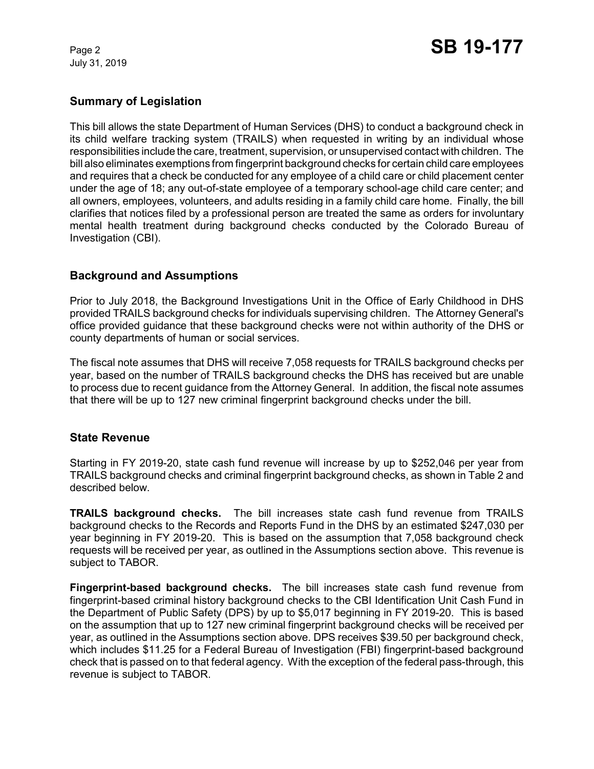July 31, 2019

## **Summary of Legislation**

This bill allows the state Department of Human Services (DHS) to conduct a background check in its child welfare tracking system (TRAILS) when requested in writing by an individual whose responsibilities include the care, treatment, supervision, or unsupervised contact with children. The bill also eliminates exemptions from fingerprint background checks for certain child care employees and requires that a check be conducted for any employee of a child care or child placement center under the age of 18; any out-of-state employee of a temporary school-age child care center; and all owners, employees, volunteers, and adults residing in a family child care home. Finally, the bill clarifies that notices filed by a professional person are treated the same as orders for involuntary mental health treatment during background checks conducted by the Colorado Bureau of Investigation (CBI).

## **Background and Assumptions**

Prior to July 2018, the Background Investigations Unit in the Office of Early Childhood in DHS provided TRAILS background checks for individuals supervising children. The Attorney General's office provided guidance that these background checks were not within authority of the DHS or county departments of human or social services.

The fiscal note assumes that DHS will receive 7,058 requests for TRAILS background checks per year, based on the number of TRAILS background checks the DHS has received but are unable to process due to recent guidance from the Attorney General. In addition, the fiscal note assumes that there will be up to 127 new criminal fingerprint background checks under the bill.

## **State Revenue**

Starting in FY 2019-20, state cash fund revenue will increase by up to \$252,046 per year from TRAILS background checks and criminal fingerprint background checks, as shown in Table 2 and described below.

**TRAILS background checks.**The bill increases state cash fund revenue from TRAILS background checks to the Records and Reports Fund in the DHS by an estimated \$247,030 per year beginning in FY 2019-20. This is based on the assumption that 7,058 background check requests will be received per year, as outlined in the Assumptions section above. This revenue is subject to TABOR.

**Fingerprint-based background checks.** The bill increases state cash fund revenue from fingerprint-based criminal history background checks to the CBI Identification Unit Cash Fund in the Department of Public Safety (DPS) by up to \$5,017 beginning in FY 2019-20. This is based on the assumption that up to 127 new criminal fingerprint background checks will be received per year, as outlined in the Assumptions section above. DPS receives \$39.50 per background check, which includes \$11.25 for a Federal Bureau of Investigation (FBI) fingerprint-based background check that is passed on to that federal agency. With the exception of the federal pass-through, this revenue is subject to TABOR.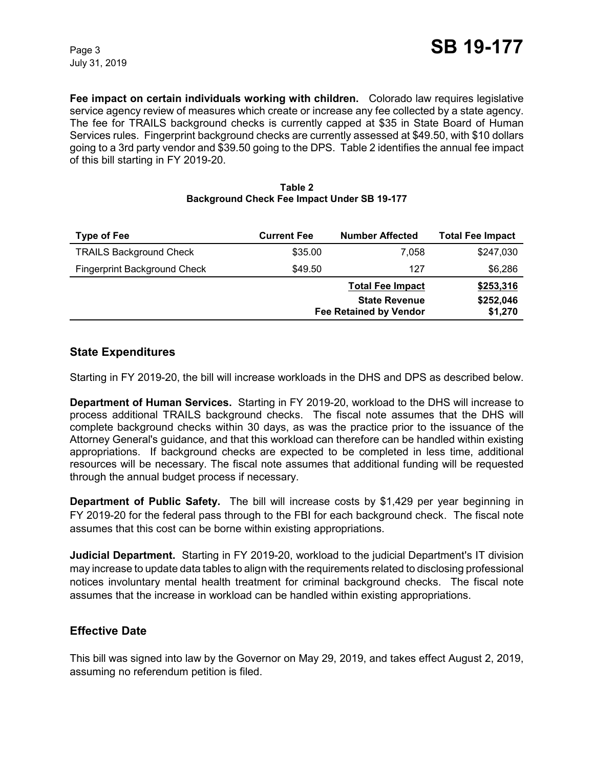**Fee impact on certain individuals working with children.** Colorado law requires legislative service agency review of measures which create or increase any fee collected by a state agency. The fee for TRAILS background checks is currently capped at \$35 in State Board of Human Services rules. Fingerprint background checks are currently assessed at \$49.50, with \$10 dollars going to a 3rd party vendor and \$39.50 going to the DPS. Table 2 identifies the annual fee impact of this bill starting in FY 2019-20.

| <b>Type of Fee</b>                  | <b>Current Fee</b>            | <b>Number Affected</b>                       | <b>Total Fee Impact</b> |
|-------------------------------------|-------------------------------|----------------------------------------------|-------------------------|
| <b>TRAILS Background Check</b>      | \$35.00                       | 7.058                                        | \$247,030               |
| <b>Fingerprint Background Check</b> | \$49.50                       | 127                                          | \$6,286                 |
|                                     |                               | <b>Total Fee Impact</b>                      | \$253,316               |
|                                     |                               | \$252,046<br><b>State Revenue</b><br>\$1,270 |                         |
|                                     | <b>Fee Retained by Vendor</b> |                                              |                         |

#### **Table 2 Background Check Fee Impact Under SB 19-177**

## **State Expenditures**

Starting in FY 2019-20, the bill will increase workloads in the DHS and DPS as described below.

**Department of Human Services.** Starting in FY 2019-20, workload to the DHS will increase to process additional TRAILS background checks. The fiscal note assumes that the DHS will complete background checks within 30 days, as was the practice prior to the issuance of the Attorney General's guidance, and that this workload can therefore can be handled within existing appropriations. If background checks are expected to be completed in less time, additional resources will be necessary. The fiscal note assumes that additional funding will be requested through the annual budget process if necessary.

**Department of Public Safety.** The bill will increase costs by \$1,429 per year beginning in FY 2019-20 for the federal pass through to the FBI for each background check. The fiscal note assumes that this cost can be borne within existing appropriations.

**Judicial Department.** Starting in FY 2019-20, workload to the judicial Department's IT division may increase to update data tables to align with the requirements related to disclosing professional notices involuntary mental health treatment for criminal background checks. The fiscal note assumes that the increase in workload can be handled within existing appropriations.

## **Effective Date**

This bill was signed into law by the Governor on May 29, 2019, and takes effect August 2, 2019, assuming no referendum petition is filed.